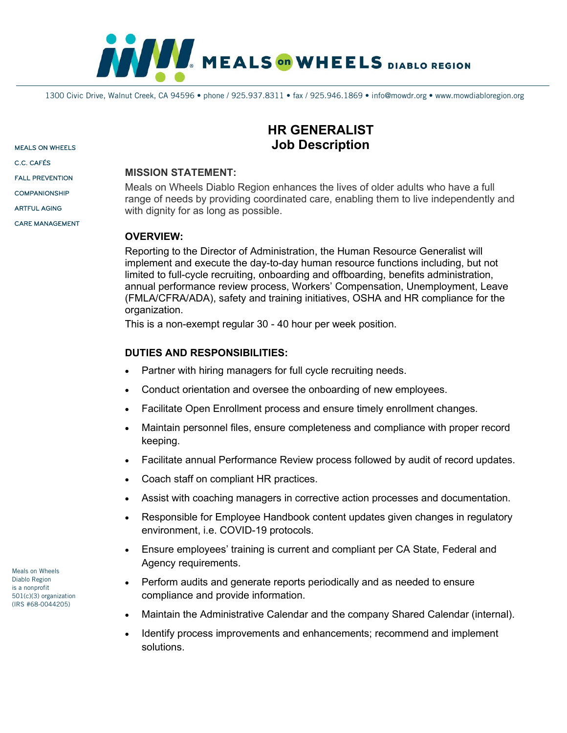

1300 Civic Drive, Walnut Creek, CA 94596 • phone / 925.937.8311 • fax / 925.946.1869 • info@mowdr.org • www.mowdiabloregion.org

MEALS ON WHEELS

C.C. CAFÉS

FALL PREVENTION

**COMPANIONSHIP** 

ARTFUL AGING

CARE MANAGEMENT

# **HR GENERALIST Job Description**

#### **MISSION STATEMENT:**

Meals on Wheels Diablo Region enhances the lives of older adults who have a full range of needs by providing coordinated care, enabling them to live independently and with dignity for as long as possible.

### **OVERVIEW:**

Reporting to the Director of Administration, the Human Resource Generalist will implement and execute the day-to-day human resource functions including, but not limited to full-cycle recruiting, onboarding and offboarding, benefits administration, annual performance review process, Workers' Compensation, Unemployment, Leave (FMLA/CFRA/ADA), safety and training initiatives, OSHA and HR compliance for the organization.

This is a non-exempt regular 30 - 40 hour per week position.

### **DUTIES AND RESPONSIBILITIES:**

- Partner with hiring managers for full cycle recruiting needs.
- Conduct orientation and oversee the onboarding of new employees.
- Facilitate Open Enrollment process and ensure timely enrollment changes.
- Maintain personnel files, ensure completeness and compliance with proper record keeping.
- Facilitate annual Performance Review process followed by audit of record updates.
- Coach staff on compliant HR practices.
- Assist with coaching managers in corrective action processes and documentation.
- Responsible for Employee Handbook content updates given changes in regulatory environment, i.e. COVID-19 protocols.
- Ensure employees' training is current and compliant per CA State, Federal and Agency requirements.
- Perform audits and generate reports periodically and as needed to ensure compliance and provide information.
- Maintain the Administrative Calendar and the company Shared Calendar (internal).
- Identify process improvements and enhancements; recommend and implement solutions.

Meals on Wheels Diablo Region is a nonprofit 501(c)(3) organization (IRS #68-0044205)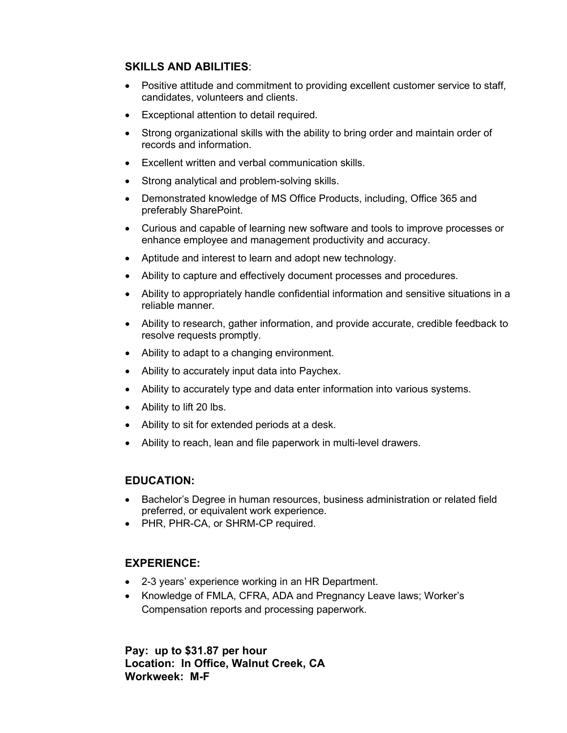## **SKILLS AND ABILITIES**:

- Positive attitude and commitment to providing excellent customer service to staff, candidates, volunteers and clients.
- Exceptional attention to detail required.
- Strong organizational skills with the ability to bring order and maintain order of records and information.
- Excellent written and verbal communication skills.
- Strong analytical and problem-solving skills.
- Demonstrated knowledge of MS Office Products, including, Office 365 and preferably SharePoint.
- Curious and capable of learning new software and tools to improve processes or enhance employee and management productivity and accuracy.
- Aptitude and interest to learn and adopt new technology.
- Ability to capture and effectively document processes and procedures.
- Ability to appropriately handle confidential information and sensitive situations in a reliable manner.
- Ability to research, gather information, and provide accurate, credible feedback to resolve requests promptly.
- Ability to adapt to a changing environment.
- Ability to accurately input data into Paychex.
- Ability to accurately type and data enter information into various systems.
- Ability to lift 20 lbs.
- Ability to sit for extended periods at a desk.
- Ability to reach, lean and file paperwork in multi-level drawers.

## **EDUCATION:**

- Bachelor's Degree in human resources, business administration or related field preferred, or equivalent work experience.
- PHR, PHR-CA, or SHRM-CP required.

### **EXPERIENCE:**

- 2-3 years' experience working in an HR Department.
- Knowledge of FMLA, CFRA, ADA and Pregnancy Leave laws; Worker's Compensation reports and processing paperwork.

**Pay: up to \$31.87 per hour Location: In Office, Walnut Creek, CA Workweek: M-F**